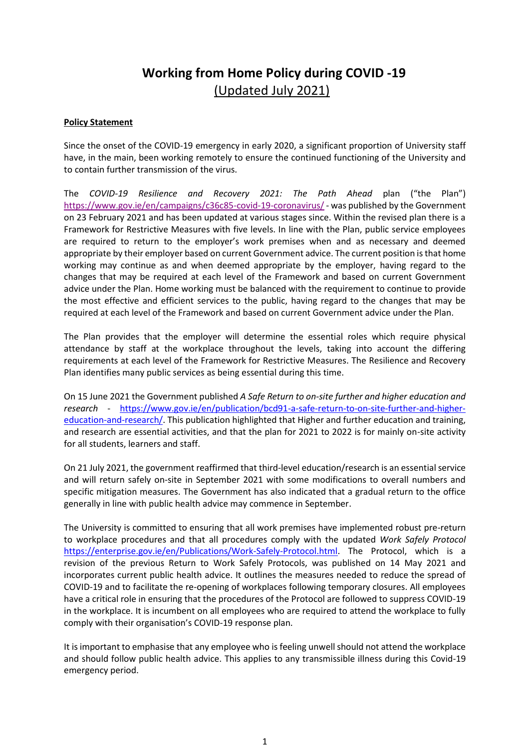# **Working from Home Policy during COVID -19** (Updated July 2021)

## **Policy Statement**

Since the onset of the COVID-19 emergency in early 2020, a significant proportion of University staff have, in the main, been working remotely to ensure the continued functioning of the University and to contain further transmission of the virus.

The *COVID-19 Resilience and Recovery 2021: The Path Ahead* plan ("the Plan") <https://www.gov.ie/en/campaigns/c36c85-covid-19-coronavirus/> - was published by the Government on 23 February 2021 and has been updated at various stages since. Within the revised plan there is a Framework for Restrictive Measures with five levels. In line with the Plan, public service employees are required to return to the employer's work premises when and as necessary and deemed appropriate by their employer based on current Government advice. The current position is that home working may continue as and when deemed appropriate by the employer, having regard to the changes that may be required at each level of the Framework and based on current Government advice under the Plan. Home working must be balanced with the requirement to continue to provide the most effective and efficient services to the public, having regard to the changes that may be required at each level of the Framework and based on current Government advice under the Plan.

The Plan provides that the employer will determine the essential roles which require physical attendance by staff at the workplace throughout the levels, taking into account the differing requirements at each level of the Framework for Restrictive Measures. The Resilience and Recovery Plan identifies many public services as being essential during this time.

On 15 June 2021 the Government published *A Safe Return to on-site further and higher education and research* - [https://www.gov.ie/en/publication/bcd91-a-safe-return-to-on-site-further-and-higher](https://www.gov.ie/en/publication/bcd91-a-safe-return-to-on-site-further-and-higher-education-and-research/)[education-and-research/.](https://www.gov.ie/en/publication/bcd91-a-safe-return-to-on-site-further-and-higher-education-and-research/) This publication highlighted that Higher and further education and training, and research are essential activities, and that the plan for 2021 to 2022 is for mainly on-site activity for all students, learners and staff.

On 21 July 2021, the government reaffirmed that third-level education/research is an essential service and will return safely on-site in September 2021 with some modifications to overall numbers and specific mitigation measures. The Government has also indicated that a gradual return to the office generally in line with public health advice may commence in September.

The University is committed to ensuring that all work premises have implemented robust pre-return to workplace procedures and that all procedures comply with the updated *Work Safely Protocol* [https://enterprise.gov.ie/en/Publications/Work-Safely-Protocol.html.](https://enterprise.gov.ie/en/Publications/Work-Safely-Protocol.html) The Protocol, which is a revision of the previous Return to Work Safely Protocols, was published on 14 May 2021 and incorporates current public health advice. It outlines the measures needed to reduce the spread of COVID-19 and to facilitate the re-opening of workplaces following temporary closures. All employees have a critical role in ensuring that the procedures of the Protocol are followed to suppress COVID-19 in the workplace. It is incumbent on all employees who are required to attend the workplace to fully comply with their organisation's COVID-19 response plan.

It is important to emphasise that any employee who is feeling unwell should not attend the workplace and should follow public health advice. This applies to any transmissible illness during this Covid-19 emergency period.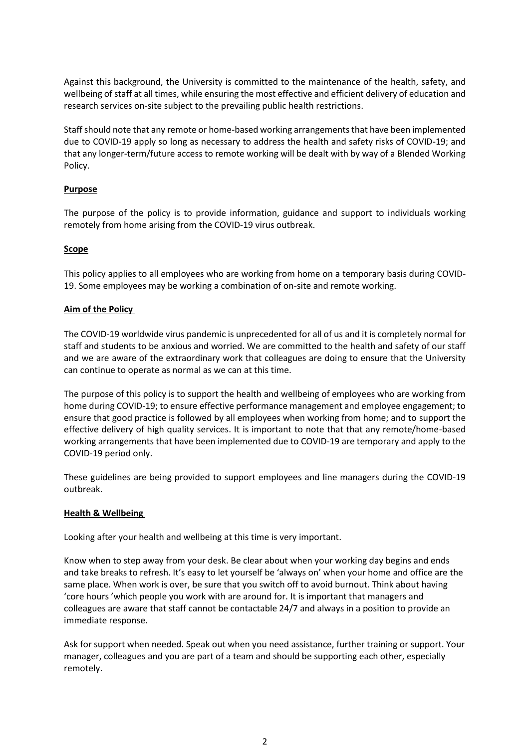Against this background, the University is committed to the maintenance of the health, safety, and wellbeing of staff at all times, while ensuring the most effective and efficient delivery of education and research services on-site subject to the prevailing public health restrictions.

Staff should note that any remote or home-based working arrangements that have been implemented due to COVID-19 apply so long as necessary to address the health and safety risks of COVID-19; and that any longer-term/future access to remote working will be dealt with by way of a Blended Working Policy.

# **Purpose**

The purpose of the policy is to provide information, guidance and support to individuals working remotely from home arising from the COVID-19 virus outbreak.

## **Scope**

This policy applies to all employees who are working from home on a temporary basis during COVID-19. Some employees may be working a combination of on-site and remote working.

## **Aim of the Policy**

The COVID-19 worldwide virus pandemic is unprecedented for all of us and it is completely normal for staff and students to be anxious and worried. We are committed to the health and safety of our staff and we are aware of the extraordinary work that colleagues are doing to ensure that the University can continue to operate as normal as we can at this time.

The purpose of this policy is to support the health and wellbeing of employees who are working from home during COVID-19; to ensure effective performance management and employee engagement; to ensure that good practice is followed by all employees when working from home; and to support the effective delivery of high quality services. It is important to note that that any remote/home-based working arrangements that have been implemented due to COVID-19 are temporary and apply to the COVID-19 period only.

These guidelines are being provided to support employees and line managers during the COVID-19 outbreak.

## **Health & Wellbeing**

Looking after your health and wellbeing at this time is very important.

Know when to step away from your desk. Be clear about when your working day begins and ends and take breaks to refresh. It's easy to let yourself be 'always on' when your home and office are the same place. When work is over, be sure that you switch off to avoid burnout. Think about having 'core hours 'which people you work with are around for. It is important that managers and colleagues are aware that staff cannot be contactable 24/7 and always in a position to provide an immediate response.

Ask for support when needed. Speak out when you need assistance, further training or support. Your manager, colleagues and you are part of a team and should be supporting each other, especially remotely.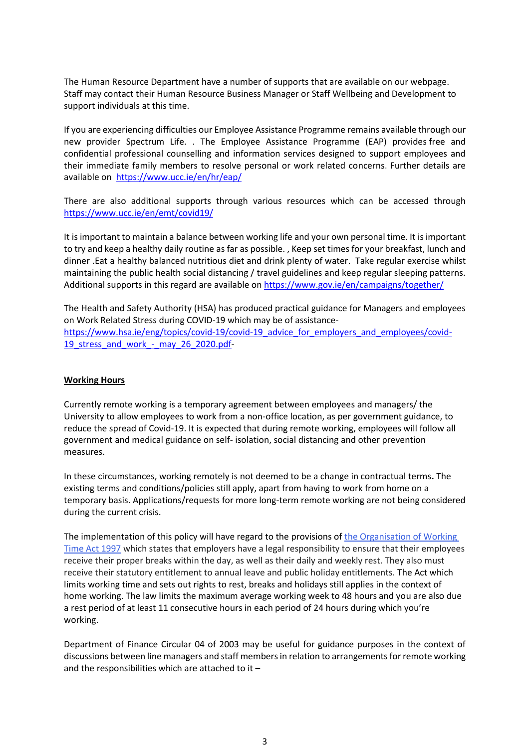The Human Resource Department have a number of supports that are available on our webpage. Staff may contact their Human Resource Business Manager or Staff Wellbeing and Development to support individuals at this time.

If you are experiencing difficulties our Employee Assistance Programme remains available through our new provider Spectrum Life. . The Employee Assistance Programme (EAP) provides free and confidential professional counselling and information services designed to support employees and their immediate family members to resolve personal or work related concerns. Further details are available on <https://www.ucc.ie/en/hr/eap/>

There are also additional supports through various resources which can be accessed through <https://www.ucc.ie/en/emt/covid19/>

It is important to maintain a balance between working life and your own personal time. It is important to try and keep a healthy daily routine as far as possible. , Keep set times for your breakfast, lunch and dinner .Eat a healthy balanced nutritious diet and drink plenty of water. Take regular exercise whilst maintaining the public health social distancing / travel guidelines and keep regular sleeping patterns. Additional supports in this regard are available on<https://www.gov.ie/en/campaigns/together/>

The Health and Safety Authority (HSA) has produced practical guidance for Managers and employees on Work Related Stress during COVID-19 which may be of assistance[https://www.hsa.ie/eng/topics/covid-19/covid-19\\_advice\\_for\\_employers\\_and\\_employees/covid-](https://www.hsa.ie/eng/topics/covid-19/covid-19_advice_for_employers_and_employees/covid-19_stress_and_work_-_may_26_2020.pdf)19 stress and work - may 26 2020.pdf-

## **Working Hours**

Currently remote working is a temporary agreement between employees and managers/ the University to allow employees to work from a non-office location, as per government guidance, to reduce the spread of Covid-19. It is expected that during remote working, employees will follow all government and medical guidance on self- isolation, social distancing and other prevention measures.

In these circumstances, working remotely is not deemed to be a change in contractual terms**.** The existing terms and conditions/policies still apply, apart from having to work from home on a temporary basis. Applications/requests for more long-term remote working are not being considered during the current crisis.

The implementation of this policy will have regard to the provisions of the Organisation of Working [Time Act 1997](http://www.irishstatutebook.ie/eli/1997/act/20/enacted/en/html) which states that employers have a legal responsibility to ensure that their employees receive their proper breaks within the day, as well as their daily and weekly rest. They also must receive their statutory entitlement to annual leave and public holiday entitlements. The Act which limits working time and sets out rights to rest, breaks and holidays still applies in the context of home working. The law limits the maximum average working week to 48 hours and you are also due a rest period of at least 11 consecutive hours in each period of 24 hours during which you're working.

Department of Finance Circular 04 of 2003 may be useful for guidance purposes in the context of discussions between line managers and staff members in relation to arrangements for remote working and the responsibilities which are attached to it –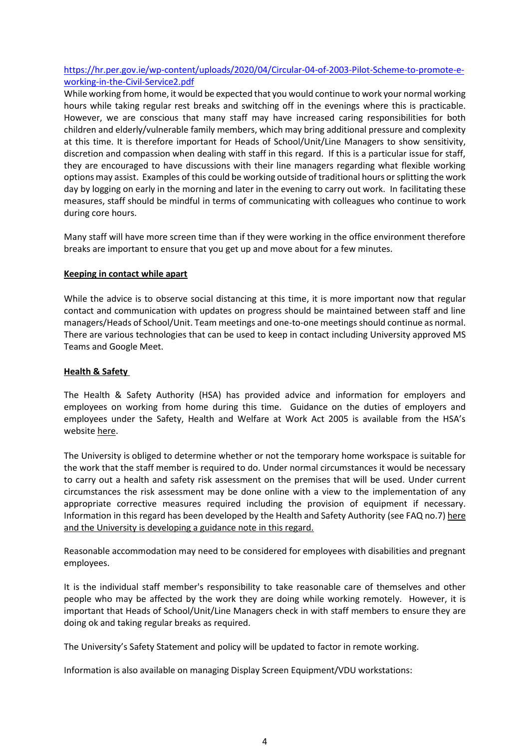# [https://hr.per.gov.ie/wp-content/uploads/2020/04/Circular-04-of-2003-Pilot-Scheme-to-promote-e](https://hr.per.gov.ie/wp-content/uploads/2020/04/Circular-04-of-2003-Pilot-Scheme-to-promote-e-working-in-the-Civil-Service2.pdf)[working-in-the-Civil-Service2.pdf](https://hr.per.gov.ie/wp-content/uploads/2020/04/Circular-04-of-2003-Pilot-Scheme-to-promote-e-working-in-the-Civil-Service2.pdf)

While working from home, it would be expected that you would continue to work your normal working hours while taking regular rest breaks and switching off in the evenings where this is practicable. However, we are conscious that many staff may have increased caring responsibilities for both children and elderly/vulnerable family members, which may bring additional pressure and complexity at this time. It is therefore important for Heads of School/Unit/Line Managers to show sensitivity, discretion and compassion when dealing with staff in this regard. If this is a particular issue for staff, they are encouraged to have discussions with their line managers regarding what flexible working options may assist. Examples of this could be working outside of traditional hours or splitting the work day by logging on early in the morning and later in the evening to carry out work. In facilitating these measures, staff should be mindful in terms of communicating with colleagues who continue to work during core hours.

Many staff will have more screen time than if they were working in the office environment therefore breaks are important to ensure that you get up and move about for a few minutes.

## **Keeping in contact while apart**

While the advice is to observe social distancing at this time, it is more important now that regular contact and communication with updates on progress should be maintained between staff and line managers/Heads of School/Unit. Team meetings and one-to-one meetings should continue as normal. There are various technologies that can be used to keep in contact including University approved MS Teams and Google Meet.

# **Health & Safety**

The Health & Safety Authority (HSA) has provided advice and information for employers and employees on working from home during this time. Guidance on the duties of employers and employees under the Safety, Health and Welfare at Work Act 2005 is available from the HSA's website [here.](https://www.hsa.ie/eng/topics/covid-19/covid-19_faqs_for_employers_and_employees_in_relation_to_home-working_on_a_temporary_basis/faqs_for_employers_and_employees_in_relation_to_home-working_on_a_temporary_basis_covid-19_.html)

The University is obliged to determine whether or not the temporary home workspace is suitable for the work that the staff member is required to do. Under normal circumstances it would be necessary to carry out a health and safety risk assessment on the premises that will be used. Under current circumstances the risk assessment may be done online with a view to the implementation of any appropriate corrective measures required including the provision of equipment if necessary. Information in this regard has been developed by the Health and Safety Authority (see FAQ no.7[\) here](https://www.hsa.ie/eng/topics/covid-19/covid-19_faqs_for_employers_and_employees_in_relation_to_home-working_on_a_temporary_basis/faqs_for_employers_and_employees_in_relation_to_home-working_on_a_temporary_basis_covid-19_.html) and the University is developing a guidance note in this regard.

Reasonable accommodation may need to be considered for employees with disabilities and pregnant employees.

It is the individual staff member's responsibility to take reasonable care of themselves and other people who may be affected by the work they are doing while working remotely. However, it is important that Heads of School/Unit/Line Managers check in with staff members to ensure they are doing ok and taking regular breaks as required.

The University's Safety Statement and policy will be updated to factor in remote working.

Information is also available on managing Display Screen Equipment/VDU workstations: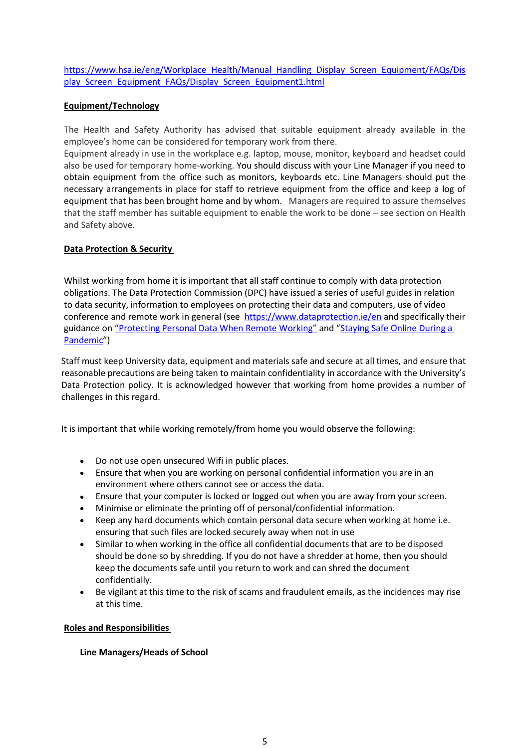[https://www.hsa.ie/eng/Workplace\\_Health/Manual\\_Handling\\_Display\\_Screen\\_Equipment/FAQs/Dis](https://www.hsa.ie/eng/Workplace_Health/Manual_Handling_Display_Screen_Equipment/FAQs/Display_Screen_Equipment_FAQs/Display_Screen_Equipment1.html) [play\\_Screen\\_Equipment\\_FAQs/Display\\_Screen\\_Equipment1.html](https://www.hsa.ie/eng/Workplace_Health/Manual_Handling_Display_Screen_Equipment/FAQs/Display_Screen_Equipment_FAQs/Display_Screen_Equipment1.html)

## **Equipment/Technology**

The Health and Safety Authority has advised that suitable equipment already available in the employee's home can be considered for temporary work from there.

Equipment already in use in the workplace e.g. laptop, mouse, monitor, keyboard and headset could also be used for temporary home-working. You should discuss with your Line Manager if you need to obtain equipment from the office such as monitors, keyboards etc. Line Managers should put the necessary arrangements in place for staff to retrieve equipment from the office and keep a log of equipment that has been brought home and by whom. Managers are required to assure themselves that the staff member has suitable equipment to enable the work to be done – see section on Health and Safety above.

## **Data Protection & Security**

Whilst working from home it is important that all staff continue to comply with data protection obligations. The Data Protection Commission (DPC) have issued a series of useful guides in relation to data security, information to employees on protecting their data and computers, use of video conference and remote work in general (see <https://www.dataprotection.ie/en> and specifically their guidance on ["Protecting Personal Data When Remote Working"](https://www.dataprotection.ie/en/protecting-personal-data-when-working-remotely-0) and "Staying Safe Online During a [Pandemic](https://www.dataprotection.ie/en/news-media/blogs/staying-safe-online-during-pandemic)")

Staff must keep University data, equipment and materials safe and secure at all times, and ensure that reasonable precautions are being taken to maintain confidentiality in accordance with the University's Data Protection policy. It is acknowledged however that working from home provides a number of challenges in this regard.

It is important that while working remotely/from home you would observe the following:

- Do not use open unsecured Wifi in public places.
- Ensure that when you are working on personal confidential information you are in an environment where others cannot see or access the data.
- Ensure that your computer is locked or logged out when you are away from your screen.
- Minimise or eliminate the printing off of personal/confidential information.
- Keep any hard documents which contain personal data secure when working at home i.e. ensuring that such files are locked securely away when not in use
- Similar to when working in the office all confidential documents that are to be disposed should be done so by shredding. If you do not have a shredder at home, then you should keep the documents safe until you return to work and can shred the document confidentially.
- Be vigilant at this time to the risk of scams and fraudulent emails, as the incidences may rise at this time.

## **Roles and Responsibilities**

## **Line Managers/Heads of School**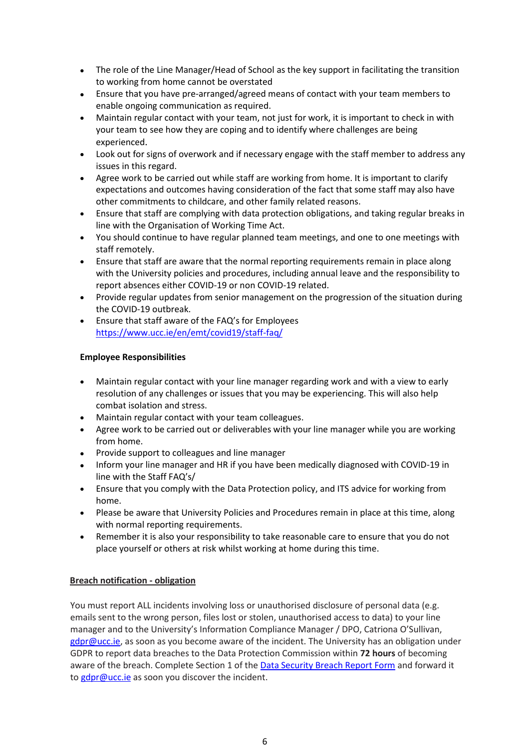- The role of the Line Manager/Head of School as the key support in facilitating the transition to working from home cannot be overstated
- Ensure that you have pre-arranged/agreed means of contact with your team members to enable ongoing communication as required.
- Maintain regular contact with your team, not just for work, it is important to check in with your team to see how they are coping and to identify where challenges are being experienced.
- Look out for signs of overwork and if necessary engage with the staff member to address any issues in this regard.
- Agree work to be carried out while staff are working from home. It is important to clarify expectations and outcomes having consideration of the fact that some staff may also have other commitments to childcare, and other family related reasons.
- Ensure that staff are complying with data protection obligations, and taking regular breaks in line with the Organisation of Working Time Act.
- You should continue to have regular planned team meetings, and one to one meetings with staff remotely.
- Ensure that staff are aware that the normal reporting requirements remain in place along with the University policies and procedures, including annual leave and the responsibility to report absences either COVID-19 or non COVID-19 related.
- Provide regular updates from senior management on the progression of the situation during the COVID-19 outbreak.
- Ensure that staff aware of the FAQ's for Employees <https://www.ucc.ie/en/emt/covid19/staff-faq/>

# **Employee Responsibilities**

- Maintain regular contact with your line manager regarding work and with a view to early resolution of any challenges or issues that you may be experiencing. This will also help combat isolation and stress.
- Maintain regular contact with your team colleagues.
- Agree work to be carried out or deliverables with your line manager while you are working from home.
- Provide support to colleagues and line manager
- Inform your line manager and HR if you have been medically diagnosed with COVID-19 in line with the Staff FAQ's/
- Ensure that you comply with the Data Protection policy, and ITS advice for working from home.
- Please be aware that University Policies and Procedures remain in place at this time, along with normal reporting requirements.
- Remember it is also your responsibility to take reasonable care to ensure that you do not place yourself or others at risk whilst working at home during this time.

# **Breach notification - obligation**

You must report ALL incidents involving loss or unauthorised disclosure of personal data (e.g. emails sent to the wrong person, files lost or stolen, unauthorised access to data) to your line manager and to the University's Information Compliance Manager / DPO, Catriona O'Sullivan, [gdpr@ucc.ie,](mailto:gdpr@ucc.ie) as soon as you become aware of the incident. The University has an obligation under GDPR to report data breaches to the Data Protection Commission within **72 hours** of becoming aware of the breach. Complete Section 1 of the [Data Security Breach Report Form](https://www.ucc.ie/en/gdpr/datasecuritybreaches/) and forward it to [gdpr@ucc.ie](mailto:gdpr@ucc.ie) as soon you discover the incident.